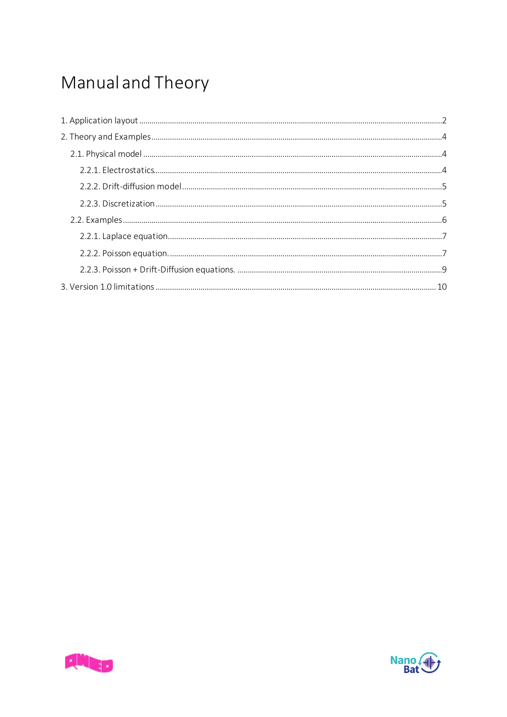# Manual and Theory



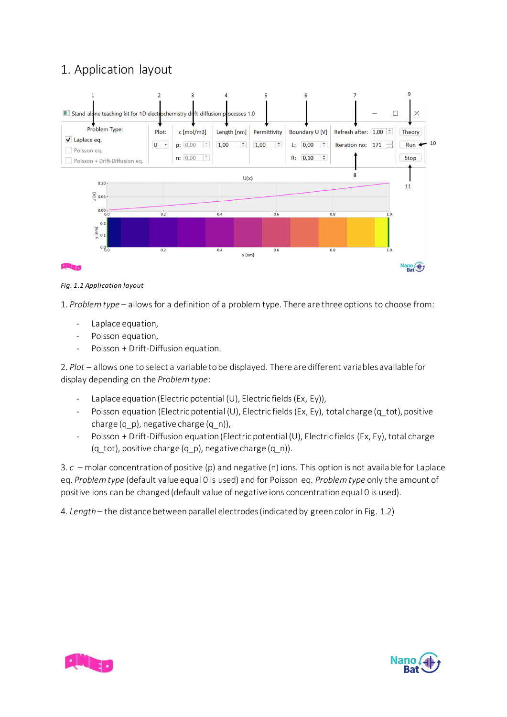# <span id="page-1-0"></span>1. Application layout



*Fig. 1.1 Application layout*

1. *Problem type* – allows for a definition of a problem type. There are three options to choose from:

- Laplace equation,
- Poisson equation,
- Poisson + Drift-Diffusion equation.

2. *Plot* – allows one to select a variable to be displayed. There are different variables available for display depending on the *Problem type*:

- Laplace equation (Electric potential (U), Electric fields (Ex, Ey)),
- Poisson equation (Electric potential (U), Electric fields (Ex, Ey), total charge (q\_tot), positive charge (q\_p), negative charge (q\_n)),
- Poisson + Drift-Diffusion equation (Electric potential (U), Electric fields (Ex, Ey), total charge (q\_tot), positive charge (q\_p), negative charge (q\_n)).

3. *c* – molar concentration of positive (p) and negative (n) ions. This option is not available for Laplace eq. *Problem type* (default value equal 0 is used) and for Poisson eq. *Problem type* only the amount of positive ions can be changed (default value of negative ions concentration equal 0 is used).

4. *Length* – the distance between parallel electrodes (indicated by green color in Fig. 1.2)



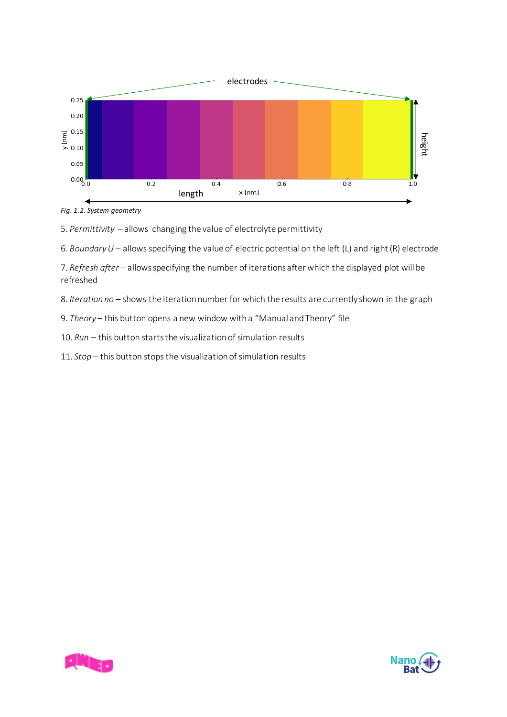

*Fig. 1.2. System geometry*

5. *Permittivity* – allows changing the value of electrolyte permittivity

6. *Boundary U* – allows specifying the value of electric potential on the left (L) and right (R) electrode

7. *Refresh after* – allows specifying the number of iterations after which the displayed plot will be refreshed

8. *Iteration no* – shows the iteration number for which the results are currently shown in the graph

9. *Theory* – this button opens a new window with a "Manual and Theory" file

10. *Run* – this button starts the visualization of simulation results

11. *Stop* – this button stops the visualization of simulation results



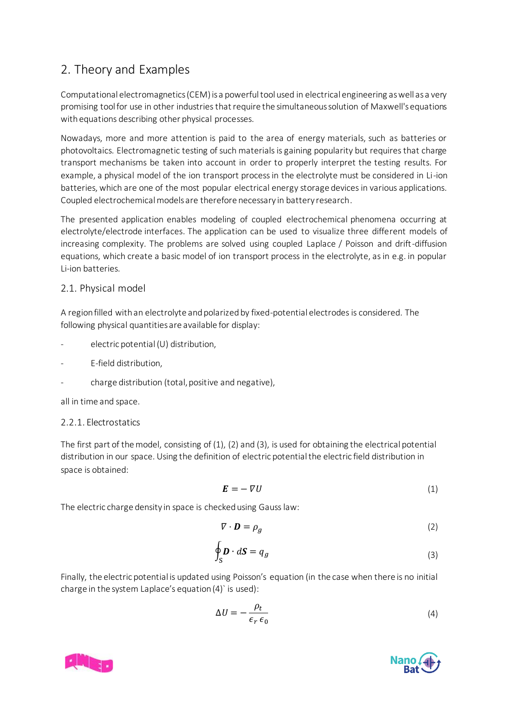# <span id="page-3-0"></span>2. Theory and Examples

Computational electromagnetics (CEM) is a powerful tool used in electrical engineering as well as a very promising tool for use in other industries that require the simultaneous solution of Maxwell's equations with equations describing other physical processes.

Nowadays, more and more attention is paid to the area of energy materials, such as batteries or photovoltaics. Electromagnetic testing of such materials is gaining popularity but requires that charge transport mechanisms be taken into account in order to properly interpret the testing results. For example, a physical model of the ion transport process in the electrolyte must be considered in Li-ion batteries, which are one of the most popular electrical energy storage devices in various applications. Coupled electrochemical models are therefore necessary in battery research.

The presented application enables modeling of coupled electrochemical phenomena occurring at electrolyte/electrode interfaces. The application can be used to visualize three different models of increasing complexity. The problems are solved using coupled Laplace / Poisson and drift-diffusion equations, which create a basic model of ion transport process in the electrolyte, as in e.g. in popular Li-ion batteries.

# <span id="page-3-1"></span>2.1. Physical model

A region filled with an electrolyte and polarized by fixed-potential electrodes is considered. The following physical quantities are available for display:

- electric potential (U) distribution,
- E-field distribution,
- charge distribution (total, positive and negative),

all in time and space.

### <span id="page-3-2"></span>2.2.1. Electrostatics

The first part of the model, consisting of (1), (2) and (3), is used for obtaining the electrical potential distribution in our space. Using the definition of electric potential the electric field distribution in space is obtained:

$$
E = -\nabla U \tag{1}
$$

The electric charge density in space is checked using Gauss law:

$$
\nabla \cdot \mathbf{D} = \rho_g \tag{2}
$$

$$
\oint_{S} \mathbf{D} \cdot d\mathbf{S} = q_g \tag{3}
$$

Finally, the electric potential is updated using Poisson's equation (in the case when there is no initial charge in the system Laplace's equation (4)` is used):

$$
\Delta U = -\frac{\rho_t}{\epsilon_r \epsilon_0} \tag{4}
$$



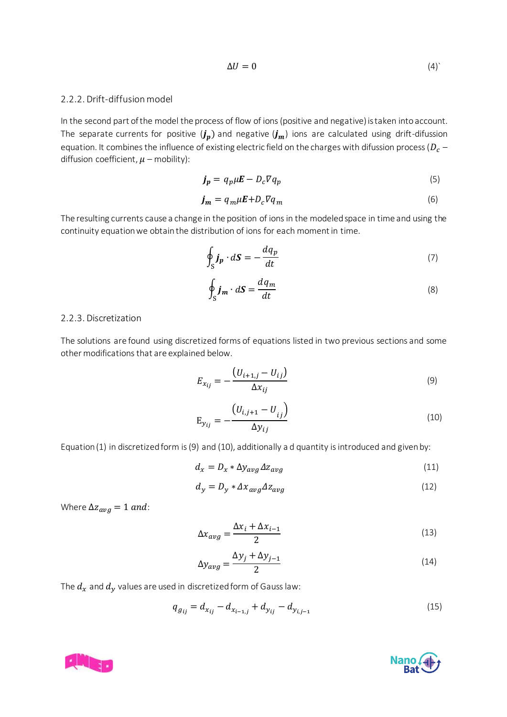$$
\Delta U = 0 \tag{4}
$$

### <span id="page-4-0"></span>2.2.2. Drift-diffusion model

In the second part of the model the process of flow of ions (positive and negative) is taken into account. The separate currents for positive  $(j_n)$  and negative  $(j_m)$  ions are calculated using drift-difussion equation. It combines the influence of existing electric field on the charges with difussion process ( $D_c$  – diffusion coefficient,  $\mu$  – mobility):

$$
\boldsymbol{j_p} = q_p \mu \boldsymbol{E} - D_c \nabla q_p \tag{5}
$$

$$
\boldsymbol{j_m} = q_m \mu \boldsymbol{E} + D_c \nabla q_m \tag{6}
$$

The resulting currents cause a change in the position of ions in the modeled space in time and using the continuity equation we obtain the distribution of ions for each moment in time.

$$
\oint_{S} \boldsymbol{j}_{p} \cdot d\boldsymbol{S} = -\frac{dq_{p}}{dt} \tag{7}
$$

$$
\oint_{S} \boldsymbol{j}_{m} \cdot d\boldsymbol{S} = \frac{dq_{m}}{dt} \tag{8}
$$

#### <span id="page-4-1"></span>2.2.3. Discretization

The solutions are found using discretized forms of equations listed in two previous sections and some other modifications that are explained below.

$$
E_{x_{ij}} = -\frac{(U_{i+1,j} - U_{ij})}{\Delta x_{ij}}
$$
\n(9)

$$
E_{y_{ij}} = -\frac{(U_{i,j+1} - U_{ij})}{\Delta y_{ij}}
$$
(10)

Equation (1) in discretized form is (9) and (10), additionally a d quantity is introduced and given by:

$$
d_x = D_x * \Delta y_{avg} \Delta z_{avg}
$$
\n<sup>(11)</sup>

$$
d_y = D_y * \Delta x_{avg} \Delta z_{avg}
$$
 (12)

Where  $\Delta z_{avg} = 1$  and:

$$
\Delta x_{avg} = \frac{\Delta x_i + \Delta x_{i-1}}{2} \tag{13}
$$

$$
\Delta y_{avg} = \frac{\Delta y_j + \Delta y_{j-1}}{2} \tag{14}
$$

The  $d_x$  and  $d_y$  values are used in discretized form of Gauss law:

$$
q_{g_{ij}} = d_{x_{ij}} - d_{x_{i-1,j}} + d_{y_{ij}} - d_{y_{i,j-1}}
$$
\n(15)



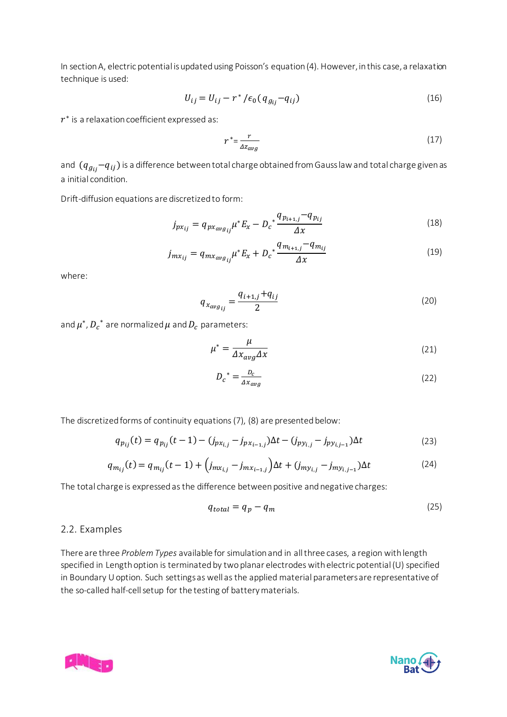In section A, electric potential is updated using Poisson's equation (4). However, in this case, a relaxation technique is used:

$$
U_{ij} = U_{ij} - r^* / \epsilon_0 (q_{g_{ij}} - q_{ij})
$$
\n(16)

 $r^\ast$  is a relaxation coefficient expressed as:

$$
r^* = \frac{r}{\Delta z_{avg}}\tag{17}
$$

and  $(q_{g_{ij}}-q_{ij})$  is a difference between total charge obtained from Gauss law and total charge given as a initial condition.

Drift-diffusion equations are discretized to form:

$$
j_{p x_{ij}} = q_{p x_{a v g_{ij}}} \mu^* E_x - D_c^* \frac{q_{p_{i+1,j}} - q_{p_{ij}}}{\Delta x}
$$
(18)

$$
j_{mx_{ij}} = q_{mx_{avg_{ij}}} \mu^* E_x + D_c^* \frac{q_{m_{i+1,j}} - q_{m_{ij}}}{\Delta x}
$$
(19)

where:

$$
q_{x_{avg_{ij}}} = \frac{q_{i+1,j} + q_{ij}}{2}
$$
 (20)

and  $\mu^*$ ,  $D_c^{\;\;*}$  are normalized  $\mu$  and  $D_c$  parameters:

$$
\mu^* = \frac{\mu}{\Delta x_{avg} \Delta x} \tag{21}
$$

$$
D_c^* = \frac{D_c}{\Delta x_{avg}}\tag{22}
$$

The discretized forms of continuity equations (7), (8) are presented below:

$$
q_{p_{ij}}(t) = q_{p_{ij}}(t-1) - (j_{px_{i,j}} - j_{px_{i-1,j}})\Delta t - (j_{py_{i,j}} - j_{py_{i,j-1}})\Delta t
$$
\n(23)

$$
q_{m_{ij}}(t) = q_{m_{ij}}(t-1) + \left(j_{m x_{i,j}} - j_{m x_{i-1,j}}\right) \Delta t + \left(j_{m y_{i,j}} - j_{m y_{i,j-1}}\right) \Delta t \tag{24}
$$

The total charge is expressed as the difference between positive and negative charges:

$$
q_{total} = q_p - q_m \tag{25}
$$

#### <span id="page-5-0"></span>2.2. Examples

There are three *Problem Types* available for simulation and in all three cases, a region with length specified in Length option is terminated by two planar electrodes with electric potential (U) specified in Boundary U option. Such settings as well as the applied material parameters are representative of the so-called half-cell setup for the testing of battery materials.



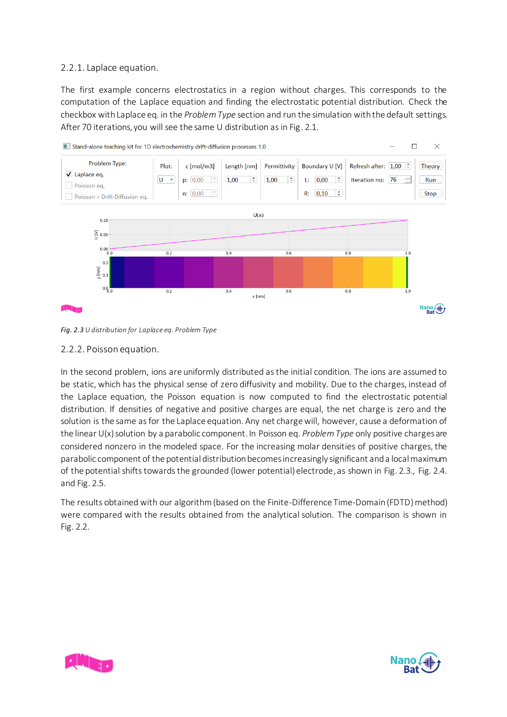## <span id="page-6-0"></span>2.2.1. Laplace equation.

The first example concerns electrostatics in a region without charges. This corresponds to the computation of the Laplace equation and finding the electrostatic potential distribution. Check the checkbox with Laplace eq. in the *Problem Type* section and run the simulation with the default settings. After 70 iterations, you will see the same U distribution as in Fig. 2.1.



*Fig. 2.3 U distribution for Laplace eq. Problem Type*

### <span id="page-6-1"></span>2.2.2. Poisson equation.

In the second problem, ions are uniformly distributed as the initial condition. The ions are assumed to be static, which has the physical sense of zero diffusivity and mobility. Due to the charges, instead of the Laplace equation, the Poisson equation is now computed to find the electrostatic potential distribution. If densities of negative and positive charges are equal, the net charge is zero and the solution is the same as for the Laplace equation. Any net charge will, however, cause a deformation of the linear U(x) solution by a parabolic component. In Poisson eq. *Problem Type* only positive charges are considered nonzero in the modeled space. For the increasing molar densities of positive charges, the parabolic component of the potential distribution becomes increasingly significant and a local maximum of the potential shifts towards the grounded (lower potential) electrode, as shown in Fig. 2.3., Fig. 2.4. and Fig. 2.5.

The results obtained with our algorithm (based on the Finite-Difference Time-Domain (FDTD) method) were compared with the results obtained from the analytical solution. The comparison is shown in Fig. 2.2.



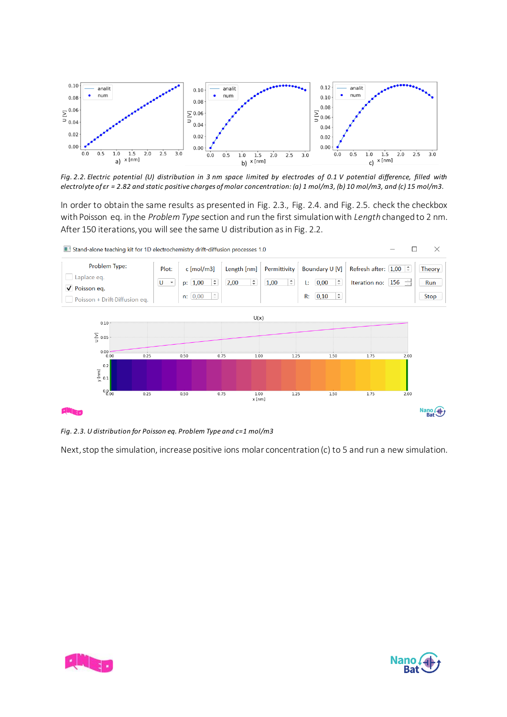

*Fig. 2.2. Electric potential (U) distribution in 3 nm space limited by electrodes of 0.1 V potential difference, filled with electrolyte of εr = 2.82 and static positive charges of molar concentration: (a) 1 mol/m3, (b) 10 mol/m3, and (c) 15 mol/m3.*

In order to obtain the same results as presented in Fig. 2.3., Fig. 2.4. and Fig. 2.5. check the checkbox with Poisson eq. in the *Problem Type* section and run the first simulation with *Length* changed to 2 nm. After 150 iterations, you will see the same U distribution as in Fig. 2.2.



*Fig. 2.3. U distribution for Poisson eq. Problem Type and c=1 mol/m3*

Next, stop the simulation, increase positive ions molar concentration (c) to 5 and run a new simulation.



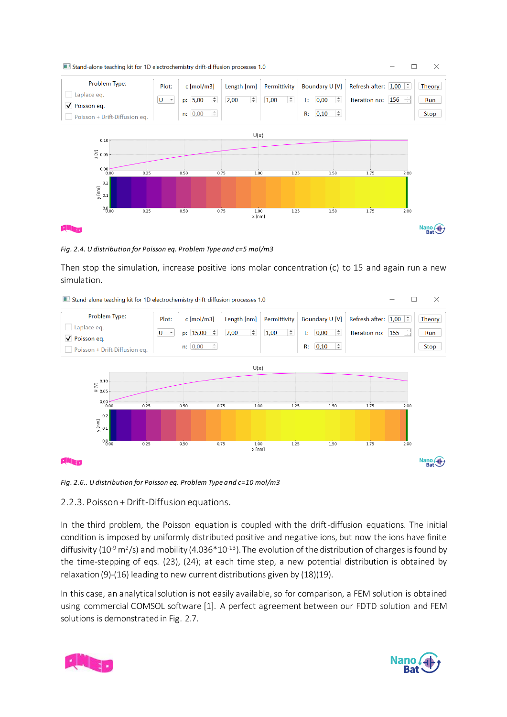

*Fig. 2.4. U distribution for Poisson eq. Problem Type and c=5 mol/m3*

Then stop the simulation, increase positive ions molar concentration (c) to 15 and again run a new simulation.

 $\times$ Stand-alone teaching kit for 1D electrochemistry drift-diffusion processes 1.0  $\Box$ Problem Type: Plot: c [mol/m3] Length [nm] Permittivity Boundary U [V] Refresh after:  $\boxed{1.00}$ Theory Laplace eq.  $U - \tau$ p:  $15,00$   $\div$  $2,00$  $1,00$   $\div$ L:  $\boxed{0,00}$   $\div$ Iteration no:  $155$  $\rightarrow$ Run V Poisson eq.  $n: [0,00]$   $\uparrow$ R:  $0,10$   $\div$ Stop Poisson + Drift-Diffusion eq.  $U(x)$  $0.10$  $\sum_{0.05}^{0.10}$  $0.00 - 0.00$  $0.25$  $0.50$  $0.75$  $1.00$  $1.25$  $1.50$  $1.75$  $\frac{1}{200}$  $0.\overline{2}$ r [nm]  $0.1$  $0.8_{.00}$  $0.25$  $0.50$  $0.75$  $\frac{1.00}{x \text{ [nm]}}$  $1.25$  $1.50$  $1.75$  $2.00$ Nano 4

*Fig. 2.6.. U distribution for Poisson eq. Problem Type and c=10 mol/m3*

# <span id="page-8-0"></span>2.2.3. Poisson + Drift-Diffusion equations.

In the third problem, the Poisson equation is coupled with the drift-diffusion equations. The initial condition is imposed by uniformly distributed positive and negative ions, but now the ions have finite diffusivity (10<sup>-9</sup> m<sup>2</sup>/s) and mobility (4.036\*10<sup>-13</sup>). The evolution of the distribution of charges is found by the time-stepping of eqs. (23), (24); at each time step, a new potential distribution is obtained by relaxation (9)-(16) leading to new current distributions given by (18)(19).

In this case, an analytical solution is not easily available, so for comparison, a FEM solution is obtained using commercial COMSOL software [1]. A perfect agreement between our FDTD solution and FEM solutions is demonstrated in Fig. 2.7.



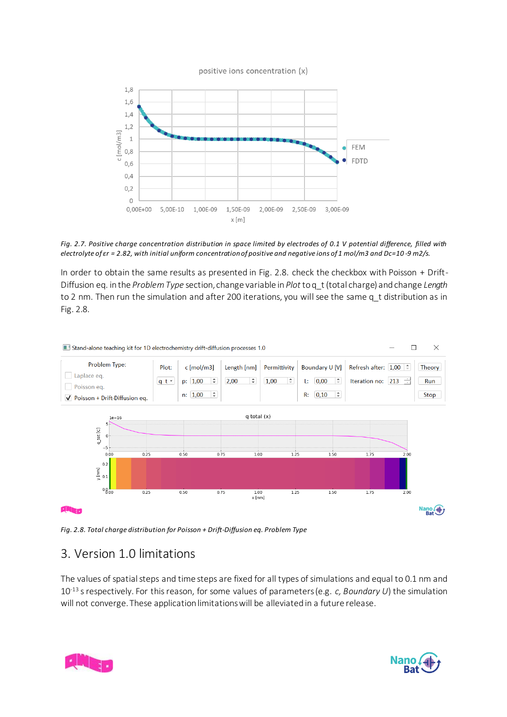



*Fig. 2.7. Positive charge concentration distribution in space limited by electrodes of 0.1 V potential difference, filled with electrolyte of εr = 2.82, with initial uniform concentration of positive and negative ions of 1 mol/m3 and Dc=10 -9 m2/s.*

In order to obtain the same results as presented in Fig. 2.8. check the checkbox with Poisson + Drift-Diffusion eq. in the *Problem Type* section, change variable in *Plot* to q\_t (total charge) and change *Length* to 2 nm. Then run the simulation and after 200 iterations, you will see the same q t distribution as in Fig. 2.8.



*Fig. 2.8. Total charge distribution for Poisson + Drift-Diffusion eq. Problem Type*

# <span id="page-9-0"></span>3. Version 1.0 limitations

The values of spatial steps and time steps are fixed for all types of simulations and equal to 0.1 nm and 10-13 s respectively. For this reason, for some values of parameters (e.g. *c, Boundary U*) the simulation will not converge. These application limitations will be alleviated in a future release.